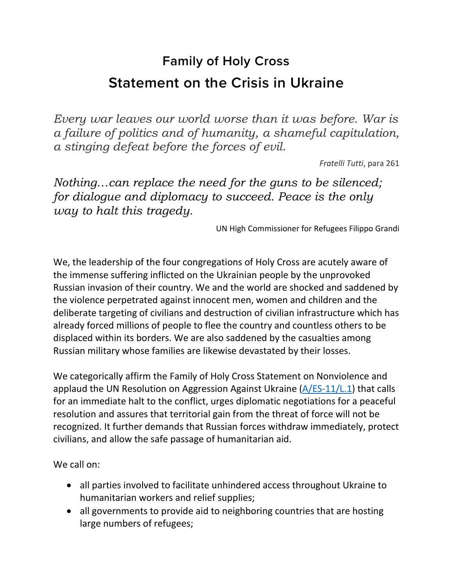## **Family of Holy Cross Statement on the Crisis in Ukraine**

*Every war leaves our world worse than it was before. War is a failure of politics and of humanity, a shameful capitulation, a stinging defeat before the forces of evil.*

*Fratelli Tutti*, para 261

*Nothing…can replace the need for the guns to be silenced; for dialogue and diplomacy to succeed. Peace is the only way to halt this tragedy.*

UN High Commissioner for Refugees Filippo Grandi

We, the leadership of the four congregations of Holy Cross are acutely aware of the immense suffering inflicted on the Ukrainian people by the unprovoked Russian invasion of their country. We and the world are shocked and saddened by the violence perpetrated against innocent men, women and children and the deliberate targeting of civilians and destruction of civilian infrastructure which has already forced millions of people to flee the country and countless others to be displaced within its borders. We are also saddened by the casualties among Russian military whose families are likewise devastated by their losses.

We categorically affirm the Family of Holy Cross Statement on Nonviolence and applaud the UN Resolution on Aggression Against Ukraine [\(A/ES-11/L.1\)](https://www.documentcloud.org/documents/21314169-unga-resolution) that calls for an immediate halt to the conflict, urges diplomatic negotiations for a peaceful resolution and assures that territorial gain from the threat of force will not be recognized. It further demands that Russian forces withdraw immediately, protect civilians, and allow the safe passage of humanitarian aid.

We call on:

- all parties involved to facilitate unhindered access throughout Ukraine to humanitarian workers and relief supplies;
- all governments to provide aid to neighboring countries that are hosting large numbers of refugees;